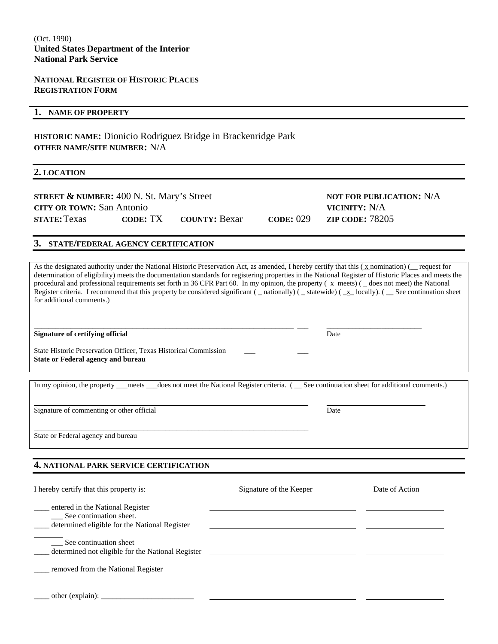## **NATIONAL REGISTER OF HISTORIC PLACES REGISTRATION FORM**

### **1. NAME OF PROPERTY**

**HISTORIC NAME:** Dionicio Rodriguez Bridge in Brackenridge Park **OTHER NAME/SITE NUMBER:** N/A

#### **2. LOCATION**

| <b>STREET &amp; NUMBER:</b> $400$ N. St. Mary's Street |                               |
|--------------------------------------------------------|-------------------------------|
| <b>CITY OR TOWN: San Antonio</b>                       |                               |
| <b>STATE: Texas</b>                                    | <b>CODE: TX COUNTY: Bexar</b> |

**NOT FOR PUBLICATION: N/A VICINITY:** N/A **STATE:** Texas **CODE:** TX **COUNTY:** Bexar **CODE:** 029 **ZIP CODE:** 78205

## **3. STATE/FEDERAL AGENCY CERTIFICATION**

As the designated authority under the National Historic Preservation Act, as amended, I hereby certify that this  $(x,$  nomination) ( $\Box$  request for determination of eligibility) meets the documentation standards for registering properties in the National Register of Historic Places and meets the procedural and professional requirements set forth in 36 CFR Part 60. In my opinion, the property ( x meets) ( \_ does not meet) the National Register criteria. I recommend that this property be considered significant ( \_\_ nationally) ( \_\_ statewide) ( \_\_ x\_ locally). ( \_\_ See continuation sheet for additional comments.)

**Signature of certifying official** Date

State Historic Preservation Officer, Texas Historical Commission **State or Federal agency and bureau** 

\_\_\_\_\_\_\_\_\_\_\_\_\_\_\_\_\_\_\_\_\_\_\_\_\_\_\_\_\_\_\_\_\_\_\_\_\_\_\_\_\_\_\_\_\_\_\_\_\_\_\_\_\_\_\_\_\_\_\_\_\_\_\_\_\_\_\_\_\_\_\_\_\_\_\_

In my opinion, the property \_\_\_meets \_\_\_does not meet the National Register criteria. ( \_\_ See continuation sheet for additional comments.)

\_\_\_\_\_\_\_\_\_\_\_\_\_\_\_\_\_\_\_\_\_\_\_\_\_\_\_\_\_\_\_\_\_\_\_\_\_\_\_\_\_\_\_\_\_\_\_\_\_\_\_\_\_\_\_\_\_\_\_\_\_\_\_\_\_\_\_\_\_\_\_\_\_\_\_ \_\_\_\_\_\_\_\_\_\_\_\_\_\_\_\_\_\_\_\_\_\_\_\_\_\_\_

\_\_\_\_\_\_\_\_\_\_\_\_\_\_\_\_\_\_\_\_\_\_\_\_\_\_\_\_\_\_\_\_\_\_\_\_\_\_\_\_\_\_\_\_\_\_\_\_\_\_\_\_\_\_\_\_\_\_\_\_\_\_\_\_\_\_\_\_\_\_\_ \_\_\_ \_\_\_\_\_\_\_\_\_\_\_\_\_\_\_\_\_\_\_\_\_\_\_\_\_\_

Signature of commenting or other official Date

State or Federal agency and bureau

#### **4. NATIONAL PARK SERVICE CERTIFICATION**

| I hereby certify that this property is:                                                                      | Signature of the Keeper | Date of Action |
|--------------------------------------------------------------------------------------------------------------|-------------------------|----------------|
| entered in the National Register<br>See continuation sheet.<br>determined eligible for the National Register |                         |                |
| ___ See continuation sheet<br>determined not eligible for the National Register                              |                         |                |
| removed from the National Register                                                                           |                         |                |
| other (explain):                                                                                             |                         |                |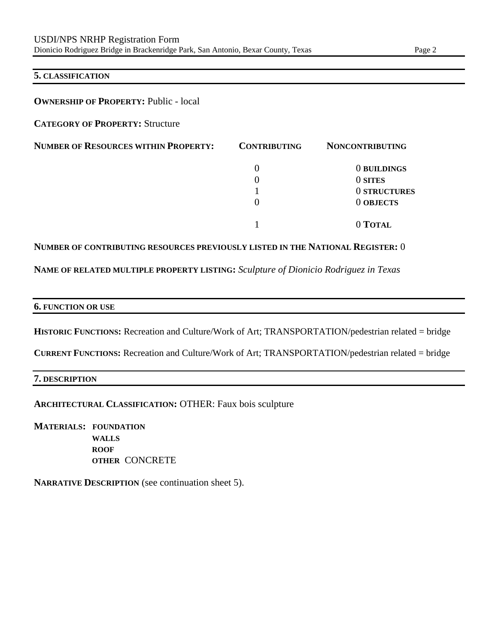## **5. CLASSIFICATION**

## **OWNERSHIP OF PROPERTY: Public - local**

**CATEGORY OF PROPERTY:** Structure

| <b>NUMBER OF RESOURCES WITHIN PROPERTY:</b> | <b>CONTRIBUTING</b> | <b>NONCONTRIBUTING</b> |
|---------------------------------------------|---------------------|------------------------|
|                                             |                     | 0 BUILDINGS            |
|                                             |                     | 0 SITES                |
|                                             |                     | 0 STRUCTURES           |
|                                             | $\theta$            | <b>O OBJECTS</b>       |
|                                             |                     | 0 TOTAL                |

## **NUMBER OF CONTRIBUTING RESOURCES PREVIOUSLY LISTED IN THE NATIONAL REGISTER:** 0

**NAME OF RELATED MULTIPLE PROPERTY LISTING:** *Sculpture of Dionicio Rodriguez in Texas*

#### **6. FUNCTION OR USE**

HISTORIC FUNCTIONS: Recreation and Culture/Work of Art; TRANSPORTATION/pedestrian related = bridge

**CURRENT FUNCTIONS:** Recreation and Culture/Work of Art; TRANSPORTATION/pedestrian related = bridge

## **7. DESCRIPTION**

**ARCHITECTURAL CLASSIFICATION:** OTHER: Faux bois sculpture

**MATERIALS: FOUNDATION WALLS ROOF OTHER** CONCRETE

**NARRATIVE DESCRIPTION** (see continuation sheet 5).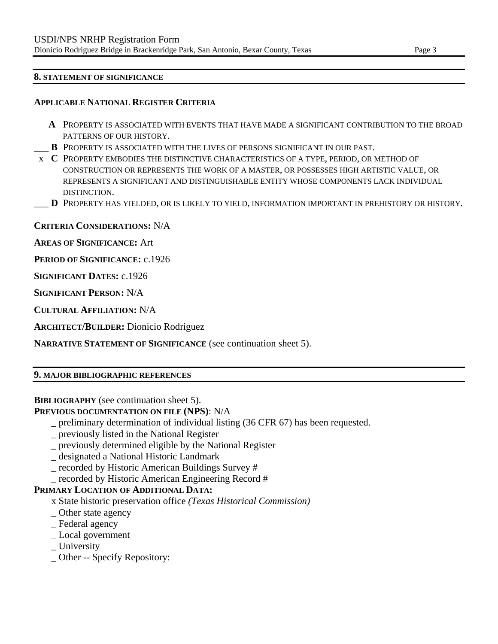## **8. STATEMENT OF SIGNIFICANCE**

## **APPLICABLE NATIONAL REGISTER CRITERIA**

- **A** PROPERTY IS ASSOCIATED WITH EVENTS THAT HAVE MADE A SIGNIFICANT CONTRIBUTION TO THE BROAD PATTERNS OF OUR HISTORY.
- \_\_\_ **B** PROPERTY IS ASSOCIATED WITH THE LIVES OF PERSONS SIGNIFICANT IN OUR PAST.
- x **C** PROPERTY EMBODIES THE DISTINCTIVE CHARACTERISTICS OF A TYPE, PERIOD, OR METHOD OF CONSTRUCTION OR REPRESENTS THE WORK OF A MASTER, OR POSSESSES HIGH ARTISTIC VALUE, OR REPRESENTS A SIGNIFICANT AND DISTINGUISHABLE ENTITY WHOSE COMPONENTS LACK INDIVIDUAL DISTINCTION.
- \_\_\_ **D** PROPERTY HAS YIELDED, OR IS LIKELY TO YIELD, INFORMATION IMPORTANT IN PREHISTORY OR HISTORY.

**CRITERIA CONSIDERATIONS:** N/A

**AREAS OF SIGNIFICANCE:** Art

**PERIOD OF SIGNIFICANCE:** c.1926

**SIGNIFICANT DATES:** c.1926

**SIGNIFICANT PERSON:** N/A

**CULTURAL AFFILIATION:** N/A

**ARCHITECT/BUILDER:** Dionicio Rodriguez

**NARRATIVE STATEMENT OF SIGNIFICANCE** (see continuation sheet 5).

## **9. MAJOR BIBLIOGRAPHIC REFERENCES**

## **BIBLIOGRAPHY** (see continuation sheet 5).

**PREVIOUS DOCUMENTATION ON FILE (NPS)**: N/A

- \_ preliminary determination of individual listing (36 CFR 67) has been requested.
- \_ previously listed in the National Register
- \_ previously determined eligible by the National Register
- \_ designated a National Historic Landmark
- \_ recorded by Historic American Buildings Survey #
- \_ recorded by Historic American Engineering Record #

## **PRIMARY LOCATION OF ADDITIONAL DATA:**

- x State historic preservation office *(Texas Historical Commission)*
- \_ Other state agency
- \_ Federal agency
- \_ Local government
- \_ University
- \_ Other -- Specify Repository: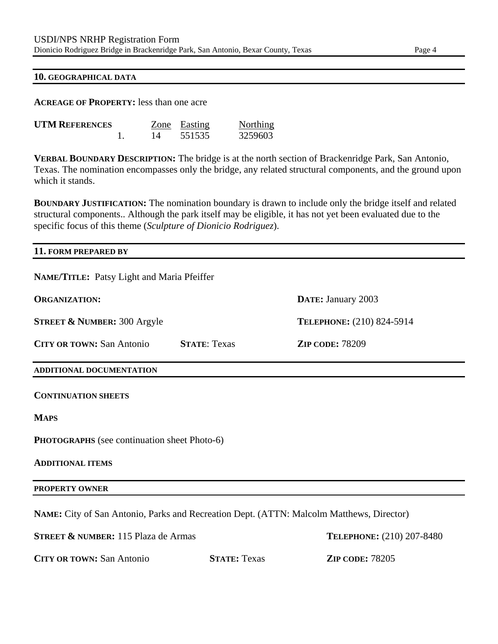#### **10. GEOGRAPHICAL DATA**

**ACREAGE OF PROPERTY:** less than one acre

| <b>UTM REFERENCES</b> |    | Zone Easting | <b>Northing</b> |
|-----------------------|----|--------------|-----------------|
|                       | 14 | 551535       | 3259603         |

**VERBAL BOUNDARY DESCRIPTION:** The bridge is at the north section of Brackenridge Park, San Antonio, Texas. The nomination encompasses only the bridge, any related structural components, and the ground upon which it stands.

**BOUNDARY JUSTIFICATION:** The nomination boundary is drawn to include only the bridge itself and related structural components.. Although the park itself may be eligible, it has not yet been evaluated due to the specific focus of this theme (*Sculpture of Dionicio Rodriguez*).

## **11. FORM PREPARED BY**

| NAME/TITLE: Patsy Light and Maria Pfeiffer                                               |                     |                           |
|------------------------------------------------------------------------------------------|---------------------|---------------------------|
| <b>ORGANIZATION:</b>                                                                     |                     | DATE: January 2003        |
| <b>STREET &amp; NUMBER: 300 Argyle</b>                                                   |                     | TELEPHONE: (210) 824-5914 |
| <b>CITY OR TOWN: San Antonio</b>                                                         | <b>STATE: Texas</b> | <b>ZIP CODE: 78209</b>    |
| ADDITIONAL DOCUMENTATION                                                                 |                     |                           |
| <b>CONTINUATION SHEETS</b>                                                               |                     |                           |
| <b>MAPS</b>                                                                              |                     |                           |
| <b>PHOTOGRAPHS</b> (see continuation sheet Photo-6)                                      |                     |                           |
| <b>ADDITIONAL ITEMS</b>                                                                  |                     |                           |
| <b>PROPERTY OWNER</b>                                                                    |                     |                           |
| NAME: City of San Antonio, Parks and Recreation Dept. (ATTN: Malcolm Matthews, Director) |                     |                           |
| <b>STREET &amp; NUMBER:</b> 115 Plaza de Armas                                           |                     | TELEPHONE: (210) 207-8480 |
| <b>CITY OR TOWN: San Antonio</b>                                                         | <b>STATE: Texas</b> | <b>ZIP CODE: 78205</b>    |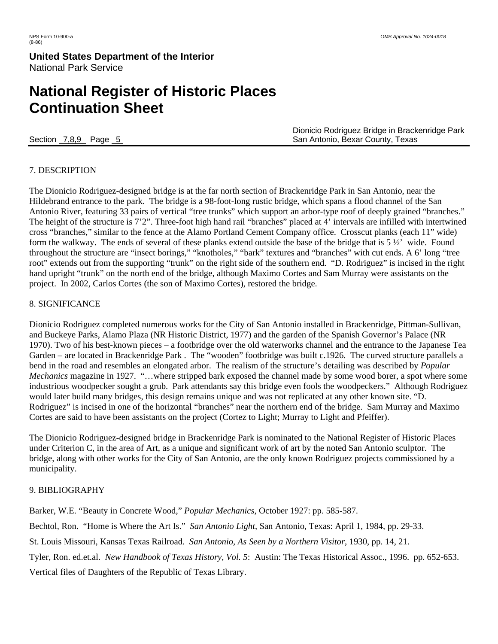## **United States Department of the Interior** National Park Service

# **National Register of Historic Places Continuation Sheet**

 Dionicio Rodriguez Bridge in Brackenridge Park Section 7,8,9 Page 5 San Antonio, Bexar County, Texas

## 7. DESCRIPTION

The Dionicio Rodriguez-designed bridge is at the far north section of Brackenridge Park in San Antonio, near the Hildebrand entrance to the park. The bridge is a 98-foot-long rustic bridge, which spans a flood channel of the San Antonio River, featuring 33 pairs of vertical "tree trunks" which support an arbor-type roof of deeply grained "branches." The height of the structure is 7'2". Three-foot high hand rail "branches" placed at 4' intervals are infilled with intertwined cross "branches," similar to the fence at the Alamo Portland Cement Company office. Crosscut planks (each 11" wide) form the walkway. The ends of several of these planks extend outside the base of the bridge that is 5 ½' wide. Found throughout the structure are "insect borings," "knotholes," "bark" textures and "branches" with cut ends. A 6' long "tree root" extends out from the supporting "trunk" on the right side of the southern end. "D. Rodriguez" is incised in the right hand upright "trunk" on the north end of the bridge, although Maximo Cortes and Sam Murray were assistants on the project. In 2002, Carlos Cortes (the son of Maximo Cortes), restored the bridge.

## 8. SIGNIFICANCE

Dionicio Rodriguez completed numerous works for the City of San Antonio installed in Brackenridge, Pittman-Sullivan, and Buckeye Parks, Alamo Plaza (NR Historic District, 1977) and the garden of the Spanish Governor's Palace (NR 1970). Two of his best-known pieces – a footbridge over the old waterworks channel and the entrance to the Japanese Tea Garden – are located in Brackenridge Park . The "wooden" footbridge was built c.1926. The curved structure parallels a bend in the road and resembles an elongated arbor. The realism of the structure's detailing was described by *Popular Mechanics* magazine in 1927. "…where stripped bark exposed the channel made by some wood borer, a spot where some industrious woodpecker sought a grub. Park attendants say this bridge even fools the woodpeckers." Although Rodriguez would later build many bridges, this design remains unique and was not replicated at any other known site. "D. Rodriguez" is incised in one of the horizontal "branches" near the northern end of the bridge. Sam Murray and Maximo Cortes are said to have been assistants on the project (Cortez to Light; Murray to Light and Pfeiffer).

The Dionicio Rodriguez-designed bridge in Brackenridge Park is nominated to the National Register of Historic Places under Criterion C, in the area of Art, as a unique and significant work of art by the noted San Antonio sculptor. The bridge, along with other works for the City of San Antonio, are the only known Rodriguez projects commissioned by a municipality.

## 9. BIBLIOGRAPHY

Barker, W.E. "Beauty in Concrete Wood," *Popular Mechanics*, October 1927: pp. 585-587.

Bechtol, Ron. "Home is Where the Art Is." *San Antonio Light*, San Antonio, Texas: April 1, 1984, pp. 29-33.

St. Louis Missouri, Kansas Texas Railroad. *San Antonio, As Seen by a Northern Visitor*, 1930, pp. 14, 21.

Tyler, Ron. ed.et.al. *New Handbook of Texas History, Vol. 5*: Austin: The Texas Historical Assoc., 1996. pp. 652-653.

Vertical files of Daughters of the Republic of Texas Library.